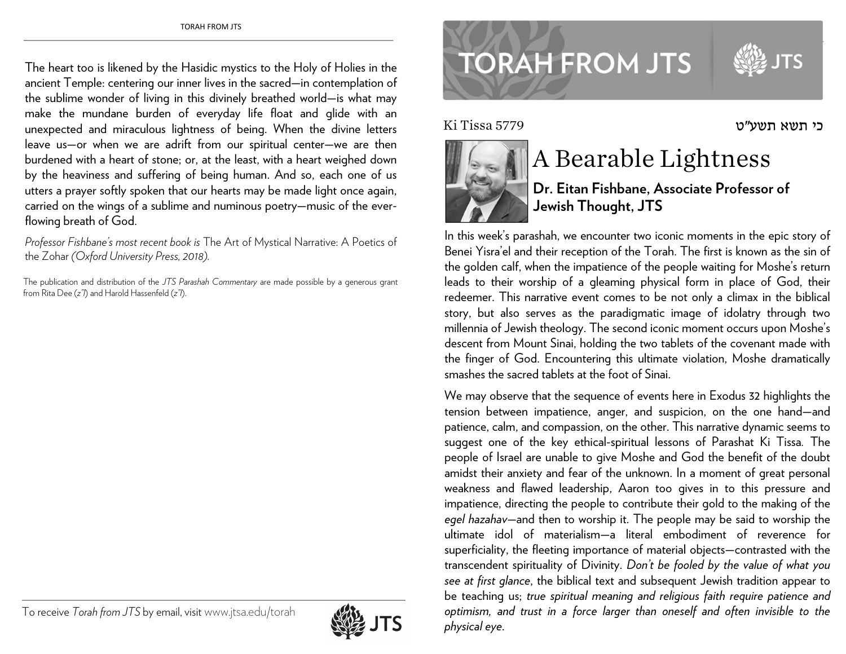The heart too is likened by the Hasidic mystics to the Holy of Holies in the ancient Temple: centering our inner lives in the sacred—in contemplation of the sublime wonder of living in this divinely breathed world—is what may make the mundane burden of everyday life float and glide with an unexpected and miraculous lightness of being. When the divine letters leave us—or when we are adrift from our spiritual center—we are then burdened with a heart of stone; or, at the least, with a heart weighed down by the heaviness and suffering of being human. And so, each one of us utters a prayer softly spoken that our hearts may be made light once again, carried on the wings of a sublime and numinous poetry—music of the everflowing breath of God.

*Professor Fishbane's most recent book is* The Art of Mystical Narrative: A Poetics of the Zohar *(Oxford University Press, 2018).* 

The publication and distribution of the *JTS Parashah Commentary* are made possible by a generous grant from Rita Dee (*z"l*) and Harold Hassenfeld (*z"l*).



## **TORAH FROM JTS**

Ki Tissa 5779

www.jtsa.edu/torah.com



## A Bearable Lightness

**Dr. Eitan Fishbane, Associate Professor of Jewish Thought, JTS** 

כי תשא תשע"ט

In this week's parashah, we encounter two iconic moments in the epic story of Benei Yisra'el and their reception of the Torah. The first is known as the sin of the golden calf, when the impatience of the people waiting for Moshe's return leads to their worship of a gleaming physical form in place of God, their redeemer. This narrative event comes to be not only a climax in the biblical story, but also serves as the paradigmatic image of idolatry through two millennia of Jewish theology. The second iconic moment occurs upon Moshe's descent from Mount Sinai, holding the two tablets of the covenant made with the finger of God. Encountering this ultimate violation, Moshe dramatically smashes the sacred tablets at the foot of Sinai.

We may observe that the sequence of events here in Exodus 32 highlights the tension between impatience, anger, and suspicion, on the one hand—and patience, calm, and compassion, on the other. This narrative dynamic seems to suggest one of the key ethical-spiritual lessons of Parashat Ki Tissa*.* The people of Israel are unable to give Moshe and God the benefit of the doubt amidst their anxiety and fear of the unknown. In a moment of great personal weakness and flawed leadership, Aaron too gives in to this pressure and impatience, directing the people to contribute their gold to the making of the *egel hazahav—*and then to worship it. The people may be said to worship the ultimate idol of materialism—a literal embodiment of reverence for superficiality, the fleeting importance of material objects—contrasted with the transcendent spirituality of Divinity. *Don't be fooled by the value of what you see at first glance*, the biblical text and subsequent Jewish tradition appear to be teaching us; *true spiritual meaning and religious faith require patience and optimism, and trust in a force larger than oneself and often invisible to the <sup>p</sup>hysical eye*.